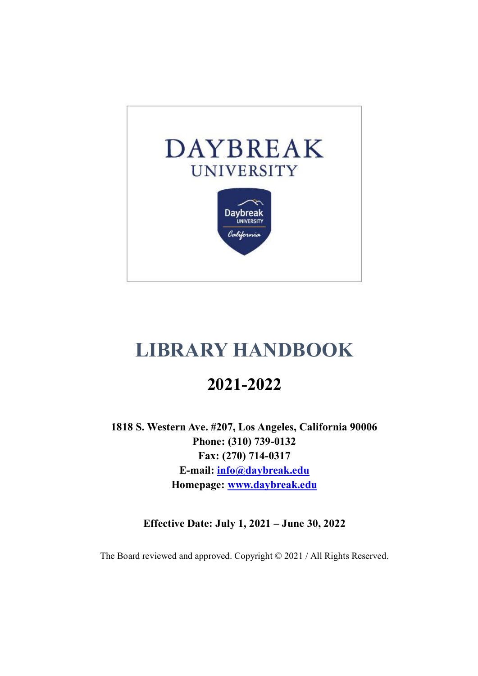

# **LIBRARY HANDBOOK**

# **2021-2022**

**1818 S. Western Ave. #207, Los Angeles, California 90006 Phone: (310) 739-0132 Fax: (270) 714-0317 E-mail: info@daybreak.edu Homepage: www.daybreak.edu**

**Effective Date: July 1, 2021 – June 30, 2022**

The Board reviewed and approved. Copyright © 2021 / All Rights Reserved.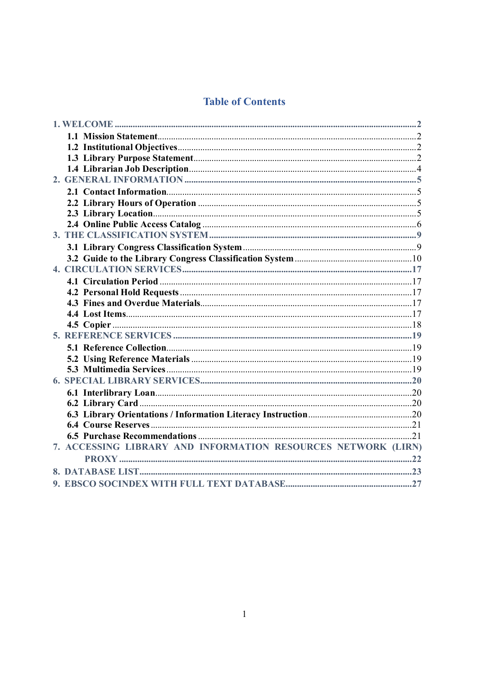# **Table of Contents**

| 7. ACCESSING LIBRARY AND INFORMATION RESOURCES NETWORK (LIRN) |  |
|---------------------------------------------------------------|--|
|                                                               |  |
|                                                               |  |
|                                                               |  |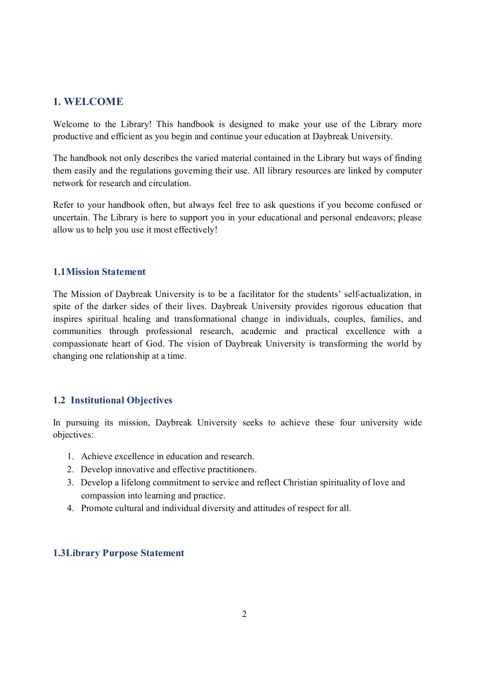## **1. WELCOME**

Welcome to the Library! This handbook is designed to make your use of the Library more productive and efficient as you begin and continue your education at Daybreak University.

The handbook not only describes the varied material contained in the Library but ways of finding them easily and the regulations governing their use. All library resources are linked by computer network for research and circulation.

Refer to your handbook often, but always feel free to ask questions if you become confused or uncertain. The Library is here to support you in your educational and personal endeavors; please allow us to help you use it most effectively!

#### **1.1Mission Statement**

The Mission of Daybreak University is to be a facilitator for the students' self-actualization, in spite of the darker sides of their lives. Daybreak University provides rigorous education that inspires spiritual healing and transformational change in individuals, couples, families, and communities through professional research, academic and practical excellence with a compassionate heart of God. The vision of Daybreak University is transforming the world by changing one relationship at a time.

## **1.2 Institutional Objectives**

In pursuing its mission, Daybreak University seeks to achieve these four university wide objectives:

- 1. Achieve excellence in education and research.
- 2. Develop innovative and effective practitioners.
- 3. Develop a lifelong commitment to service and reflect Christian spirituality of love and compassion into learning and practice.
- 4. Promote cultural and individual diversity and attitudes of respect for all.

## **1.3Library Purpose Statement**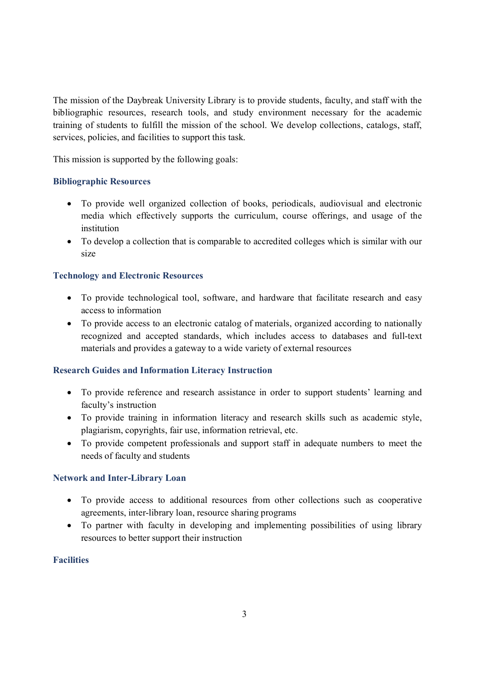The mission of the Daybreak University Library is to provide students, faculty, and staff with the bibliographic resources, research tools, and study environment necessary for the academic training of students to fulfill the mission of the school. We develop collections, catalogs, staff, services, policies, and facilities to support this task.

This mission is supported by the following goals:

#### **Bibliographic Resources**

- · To provide well organized collection of books, periodicals, audiovisual and electronic media which effectively supports the curriculum, course offerings, and usage of the institution
- · To develop a collection that is comparable to accredited colleges which is similar with our size

## **Technology and Electronic Resources**

- · To provide technological tool, software, and hardware that facilitate research and easy access to information
- · To provide access to an electronic catalog of materials, organized according to nationally recognized and accepted standards, which includes access to databases and full-text materials and provides a gateway to a wide variety of external resources

#### **Research Guides and Information Literacy Instruction**

- · To provide reference and research assistance in order to support students' learning and faculty's instruction
- · To provide training in information literacy and research skills such as academic style, plagiarism, copyrights, fair use, information retrieval, etc.
- · To provide competent professionals and support staff in adequate numbers to meet the needs of faculty and students

#### **Network and Inter-Library Loan**

- · To provide access to additional resources from other collections such as cooperative agreements, inter-library loan, resource sharing programs
- · To partner with faculty in developing and implementing possibilities of using library resources to better support their instruction

## **Facilities**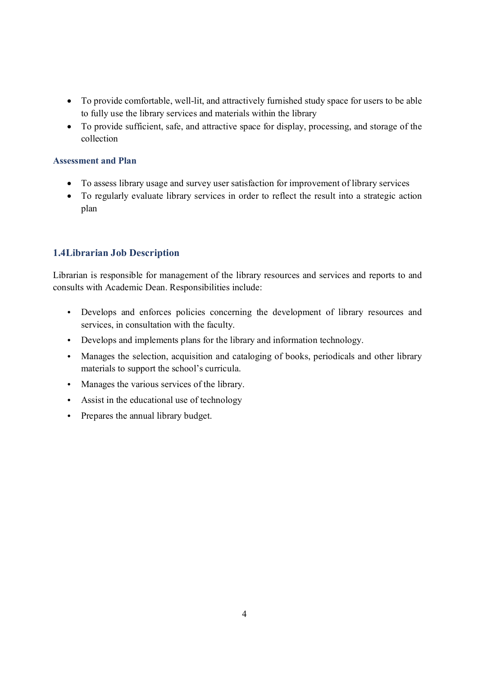- · To provide comfortable, well-lit, and attractively furnished study space for users to be able to fully use the library services and materials within the library
- · To provide sufficient, safe, and attractive space for display, processing, and storage of the collection

#### **Assessment and Plan**

- · To assess library usage and survey user satisfaction for improvement of library services
- · To regularly evaluate library services in order to reflect the result into a strategic action plan

## **1.4Librarian Job Description**

Librarian is responsible for management of the library resources and services and reports to and consults with Academic Dean. Responsibilities include:

- Develops and enforces policies concerning the development of library resources and services, in consultation with the faculty.
- Develops and implements plans for the library and information technology.
- Manages the selection, acquisition and cataloging of books, periodicals and other library materials to support the school's curricula.
- Manages the various services of the library.
- Assist in the educational use of technology
- Prepares the annual library budget.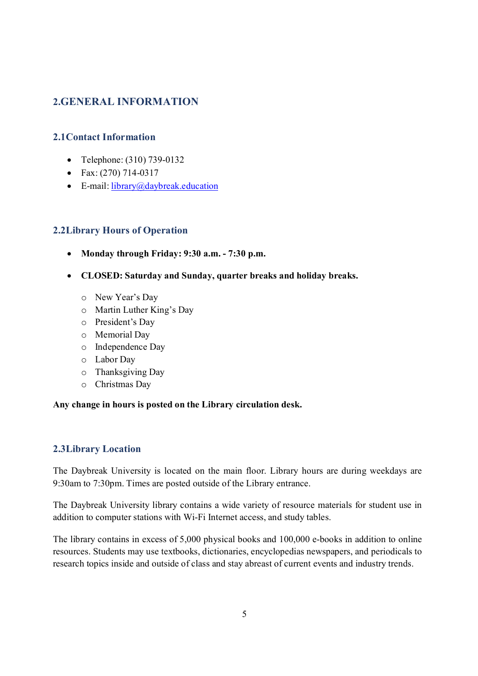## **2.GENERAL INFORMATION**

## **2.1Contact Information**

- Telephone: (310) 739-0132
- Fax:  $(270)$  714-0317
- E-mail: library@daybreak.education

## **2.2Library Hours of Operation**

- · **Monday through Friday: 9:30 a.m. - 7:30 p.m.**
- · **CLOSED: Saturday and Sunday, quarter breaks and holiday breaks.**
	- o New Year's Day
	- o Martin Luther King's Day
	- o President's Day
	- o Memorial Day
	- o Independence Day
	- o Labor Day
	- o Thanksgiving Day
	- o Christmas Day

#### **Any change in hours is posted on the Library circulation desk.**

## **2.3Library Location**

The Daybreak University is located on the main floor. Library hours are during weekdays are 9:30am to 7:30pm. Times are posted outside of the Library entrance.

The Daybreak University library contains a wide variety of resource materials for student use in addition to computer stations with Wi-Fi Internet access, and study tables.

The library contains in excess of 5,000 physical books and 100,000 e-books in addition to online resources. Students may use textbooks, dictionaries, encyclopedias newspapers, and periodicals to research topics inside and outside of class and stay abreast of current events and industry trends.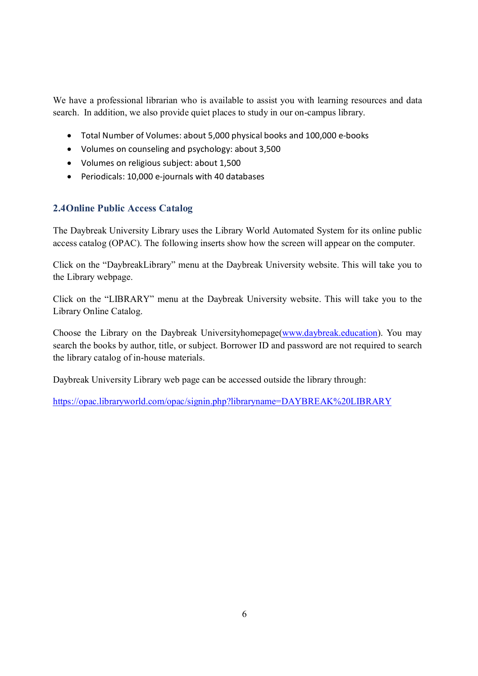We have a professional librarian who is available to assist you with learning resources and data search. In addition, we also provide quiet places to study in our on-campus library.

- · Total Number of Volumes: about 5,000 physical books and 100,000 e-books
- · Volumes on counseling and psychology: about 3,500
- · Volumes on religious subject: about 1,500
- · Periodicals: 10,000 e-journals with 40 databases

## **2.4Online Public Access Catalog**

The Daybreak University Library uses the Library World Automated System for its online public access catalog (OPAC). The following inserts show how the screen will appear on the computer.

Click on the "DaybreakLibrary" menu at the Daybreak University website. This will take you to the Library webpage.

Click on the "LIBRARY" menu at the Daybreak University website. This will take you to the Library Online Catalog.

Choose the Library on the Daybreak Universityhomepage(www.daybreak.education). You may search the books by author, title, or subject. Borrower ID and password are not required to search the library catalog of in-house materials.

Daybreak University Library web page can be accessed outside the library through:

https://opac.libraryworld.com/opac/signin.php?libraryname=DAYBREAK%20LIBRARY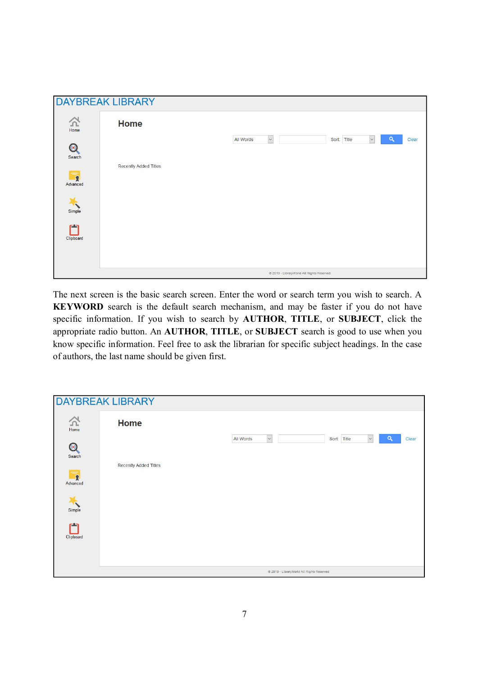| <b>DAYBREAK LIBRARY</b>             |                                           |                                                                              |  |  |  |  |  |  |
|-------------------------------------|-------------------------------------------|------------------------------------------------------------------------------|--|--|--|--|--|--|
| $\sum_{\text{Home}}$                | Home                                      | $\check{ }$<br>$\alpha$<br>All Words<br>Sort: Title<br>Clear<br>$\checkmark$ |  |  |  |  |  |  |
| $\odot$<br>Search                   | Recently Added Titles                     |                                                                              |  |  |  |  |  |  |
| $\overline{\mathbf{R}}$<br>Advanced |                                           |                                                                              |  |  |  |  |  |  |
| Simple<br>حدو                       |                                           |                                                                              |  |  |  |  |  |  |
| Clipboard                           |                                           |                                                                              |  |  |  |  |  |  |
|                                     |                                           |                                                                              |  |  |  |  |  |  |
|                                     | @ 2019 - LibraryWorld All Rights Reserved |                                                                              |  |  |  |  |  |  |

The next screen is the basic search screen. Enter the word or search term you wish to search. A **KEYWORD** search is the default search mechanism, and may be faster if you do not have specific information. If you wish to search by **AUTHOR**, **TITLE**, or **SUBJECT**, click the appropriate radio button. An **AUTHOR**, **TITLE**, or **SUBJECT** search is good to use when you know specific information. Feel free to ask the librarian for specific subject headings. In the case of authors, the last name should be given first.

| <b>DAYBREAK LIBRARY</b>                    |                       |                                                                           |  |  |  |  |  |
|--------------------------------------------|-----------------------|---------------------------------------------------------------------------|--|--|--|--|--|
| $\sum_{\text{Home}}$<br>$\odot$            | <b>Home</b>           | $\check{~}$<br>Q<br>Sort: Title<br>All Words<br>$\mathord{\sim}$<br>Clear |  |  |  |  |  |
| Search<br>$\blacktriangledown$<br>Advanced | Recently Added Titles |                                                                           |  |  |  |  |  |
| Simple                                     |                       |                                                                           |  |  |  |  |  |
| حدد<br>Clipboard                           |                       |                                                                           |  |  |  |  |  |
|                                            |                       | @ 2019 - LibraryWorld All Rights Reserved                                 |  |  |  |  |  |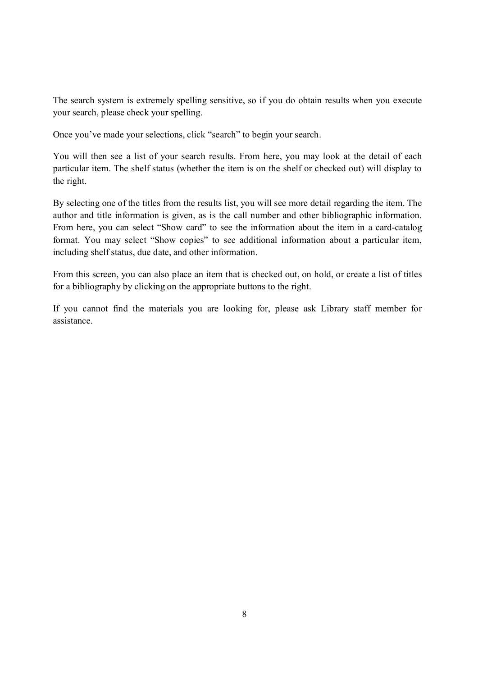The search system is extremely spelling sensitive, so if you do obtain results when you execute your search, please check your spelling.

Once you've made your selections, click "search" to begin your search.

You will then see a list of your search results. From here, you may look at the detail of each particular item. The shelf status (whether the item is on the shelf or checked out) will display to the right.

By selecting one of the titles from the results list, you will see more detail regarding the item. The author and title information is given, as is the call number and other bibliographic information. From here, you can select "Show card" to see the information about the item in a card-catalog format. You may select "Show copies" to see additional information about a particular item, including shelf status, due date, and other information.

From this screen, you can also place an item that is checked out, on hold, or create a list of titles for a bibliography by clicking on the appropriate buttons to the right.

If you cannot find the materials you are looking for, please ask Library staff member for assistance.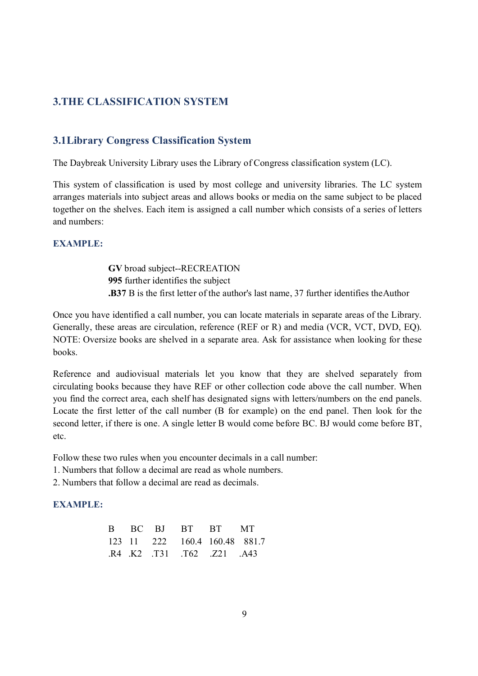## **3.THE CLASSIFICATION SYSTEM**

## **3.1Library Congress Classification System**

The Daybreak University Library uses the Library of Congress classification system (LC).

This system of classification is used by most college and university libraries. The LC system arranges materials into subject areas and allows books or media on the same subject to be placed together on the shelves. Each item is assigned a call number which consists of a series of letters and numbers:

#### **EXAMPLE:**

**GV** broad subject--RECREATION **995** further identifies the subject **.B37** B is the first letter of the author's last name, 37 further identifies theAuthor

Once you have identified a call number, you can locate materials in separate areas of the Library. Generally, these areas are circulation, reference (REF or R) and media (VCR, VCT, DVD, EQ). NOTE: Oversize books are shelved in a separate area. Ask for assistance when looking for these books.

Reference and audiovisual materials let you know that they are shelved separately from circulating books because they have REF or other collection code above the call number. When you find the correct area, each shelf has designated signs with letters/numbers on the end panels. Locate the first letter of the call number (B for example) on the end panel. Then look for the second letter, if there is one. A single letter B would come before BC. BJ would come before BT, etc.

Follow these two rules when you encounter decimals in a call number:

- 1. Numbers that follow a decimal are read as whole numbers.
- 2. Numbers that follow a decimal are read as decimals.

#### **EXAMPLE:**

|  | B BC BJ BT BT MT              |  |
|--|-------------------------------|--|
|  | 123 11 222 160.4 160.48 881.7 |  |
|  | R4 K2 T31 T62 Z21 A43         |  |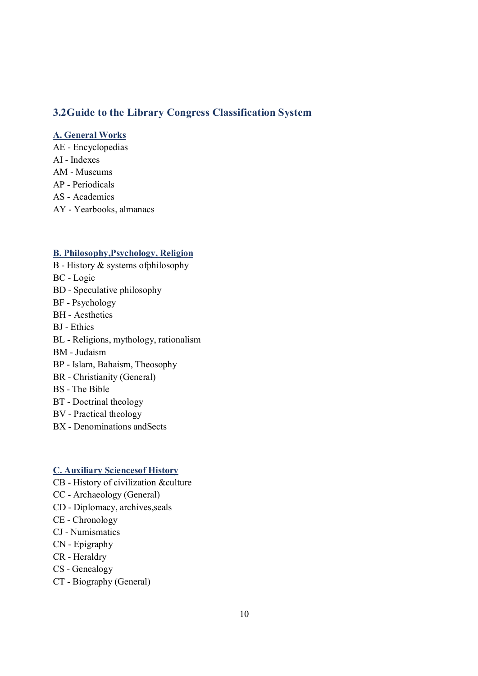## **3.2Guide to the Library Congress Classification System**

#### **A. General Works**

AE - Encyclopedias AI - Indexes AM - Museums AP - Periodicals AS - Academics AY - Yearbooks, almanacs

#### **B. Philosophy,Psychology, Religion**

- B History & systems ofphilosophy BC - Logic BD - Speculative philosophy BF - Psychology BH - Aesthetics BJ - Ethics BL - Religions, mythology, rationalism BM - Judaism BP - Islam, Bahaism, Theosophy BR - Christianity (General) BS - The Bible BT - Doctrinal theology BV - Practical theology
- BX Denominations andSects

#### **C. Auxiliary Sciencesof History**

- CB History of civilization &culture
- CC Archaeology (General)
- CD Diplomacy, archives,seals
- CE Chronology
- CJ Numismatics
- CN Epigraphy
- CR Heraldry
- CS Genealogy
- CT Biography (General)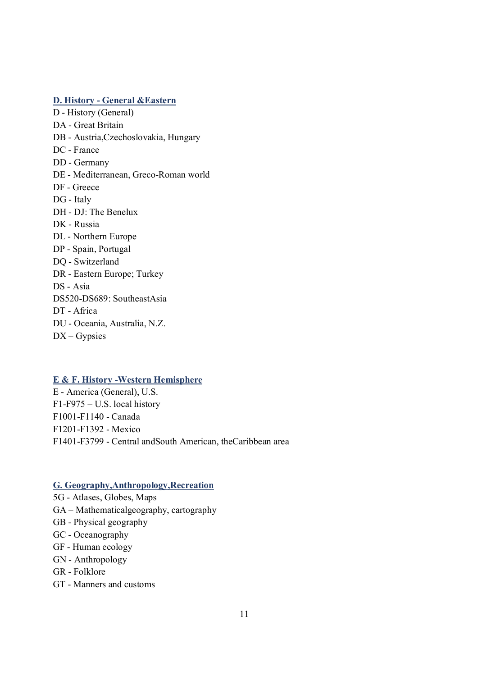## **D. History - General &Eastern**

D - History (General) DA - Great Britain DB - Austria,Czechoslovakia, Hungary DC - France DD - Germany DE - Mediterranean, Greco-Roman world DF - Greece DG - Italy DH - DJ: The Benelux DK - Russia DL - Northern Europe DP - Spain, Portugal DQ - Switzerland DR - Eastern Europe; Turkey DS - Asia DS520-DS689: SoutheastAsia DT - Africa DU - Oceania, Australia, N.Z. DX – Gypsies

#### **E & F. History -Western Hemisphere**

E - America (General), U.S. F1-F975 – U.S. local history F1001-F1140 - Canada F1201-F1392 - Mexico F1401-F3799 - Central andSouth American, theCaribbean area

#### **G. Geography,Anthropology,Recreation**

- 5G Atlases, Globes, Maps
- GA Mathematicalgeography, cartography
- GB Physical geography
- GC Oceanography
- GF Human ecology
- GN Anthropology
- GR Folklore
- GT Manners and customs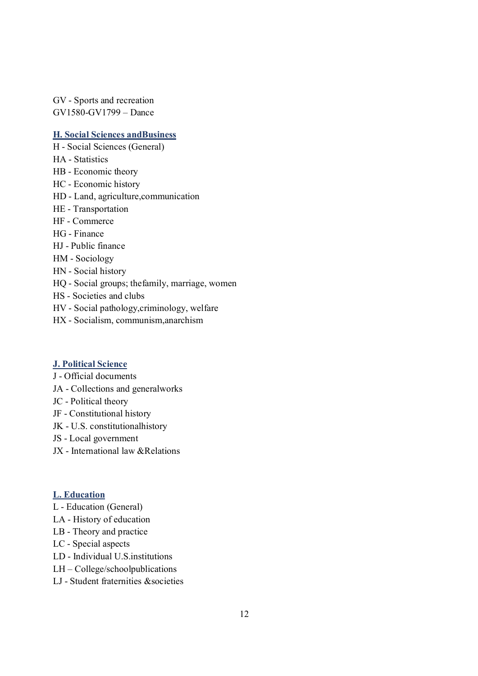GV - Sports and recreation GV1580-GV1799 – Dance

#### **H. Social Sciences andBusiness**

H - Social Sciences (General) HA - Statistics HB - Economic theory HC - Economic history HD - Land, agriculture,communication HE - Transportation HF - Commerce HG - Finance HJ - Public finance HM - Sociology HN - Social history HQ - Social groups; thefamily, marriage, women HS - Societies and clubs HV - Social pathology,criminology, welfare HX - Socialism, communism,anarchism

#### **J. Political Science**

- J Official documents
- JA Collections and generalworks
- JC Political theory
- JF Constitutional history
- JK U.S. constitutionalhistory
- JS Local government
- JX International law &Relations

#### **L. Education**

- L Education (General)
- LA History of education
- LB Theory and practice
- LC Special aspects
- LD Individual U.S.institutions
- LH College/schoolpublications
- LJ Student fraternities &societies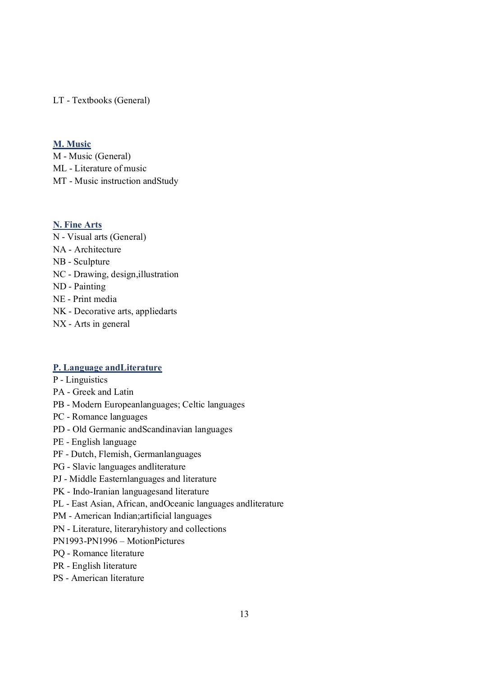LT - Textbooks (General)

#### **M. Music**

M - Music (General) ML - Literature of music MT - Music instruction andStudy

#### **N. Fine Arts**

N - Visual arts (General) NA - Architecture NB - Sculpture NC - Drawing, design,illustration ND - Painting NE - Print media NK - Decorative arts, appliedarts NX - Arts in general

## **P. Language andLiterature**

- P Linguistics
- PA Greek and Latin
- PB Modern Europeanlanguages; Celtic languages
- PC Romance languages
- PD Old Germanic andScandinavian languages
- PE English language
- PF Dutch, Flemish, Germanlanguages
- PG Slavic languages andliterature
- PJ Middle Easternlanguages and literature
- PK Indo-Iranian languagesand literature
- PL East Asian, African, andOceanic languages andliterature
- PM American Indian;artificial languages
- PN Literature, literaryhistory and collections
- PN1993-PN1996 MotionPictures
- PQ Romance literature
- PR English literature
- PS American literature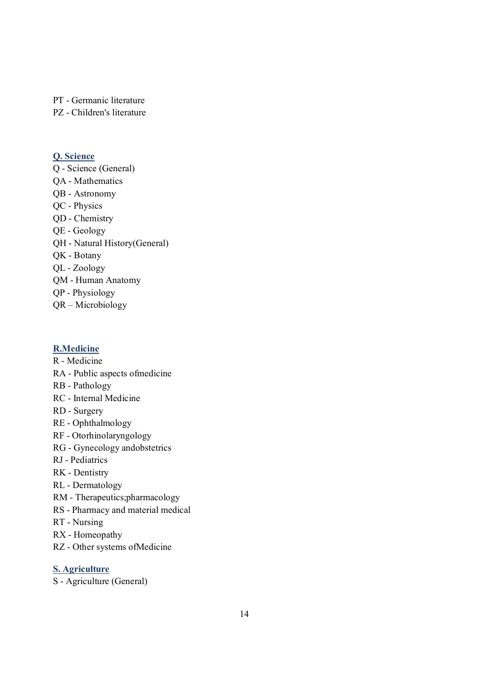PT - Germanic literature

PZ - Children's literature

#### **Q. Science**

Q - Science (General) QA - Mathematics QB - Astronomy QC - Physics QD - Chemistry QE - Geology QH - Natural History(General) QK - Botany QL - Zoology QM - Human Anatomy QP - Physiology QR – Microbiology

## **R.Medicine**

R - Medicine RA - Public aspects ofmedicine

- RB Pathology
- RC Internal Medicine
- RD Surgery
- RE Ophthalmology
- RF Otorhinolaryngology
- RG Gynecology andobstetrics
- RJ Pediatrics
- RK Dentistry
- RL Dermatology
- RM Therapeutics;pharmacology
- RS Pharmacy and material medical
- RT Nursing
- RX Homeopathy
- RZ Other systems ofMedicine

## **S. Agriculture**

S - Agriculture (General)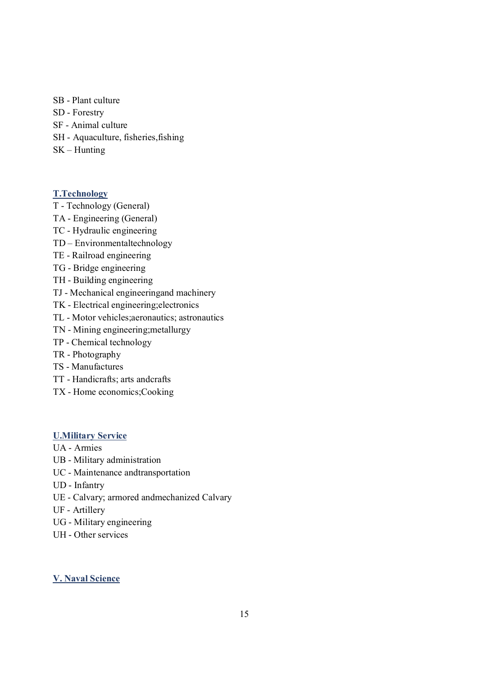- SB Plant culture
- SD Forestry
- SF Animal culture
- SH Aquaculture, fisheries,fishing
- SK Hunting

#### **T.Technology**

- T Technology (General)
- TA Engineering (General)
- TC Hydraulic engineering
- TD Environmentaltechnology
- TE Railroad engineering
- TG Bridge engineering
- TH Building engineering
- TJ Mechanical engineeringand machinery
- TK Electrical engineering;electronics
- TL Motor vehicles;aeronautics; astronautics
- TN Mining engineering;metallurgy
- TP Chemical technology
- TR Photography
- TS Manufactures
- TT Handicrafts; arts andcrafts
- TX Home economics;Cooking

## **U.Military Service**

- UA Armies
- UB Military administration
- UC Maintenance andtransportation
- UD Infantry
- UE Calvary; armored andmechanized Calvary
- UF Artillery
- UG Military engineering
- UH Other services

#### **V. Naval Science**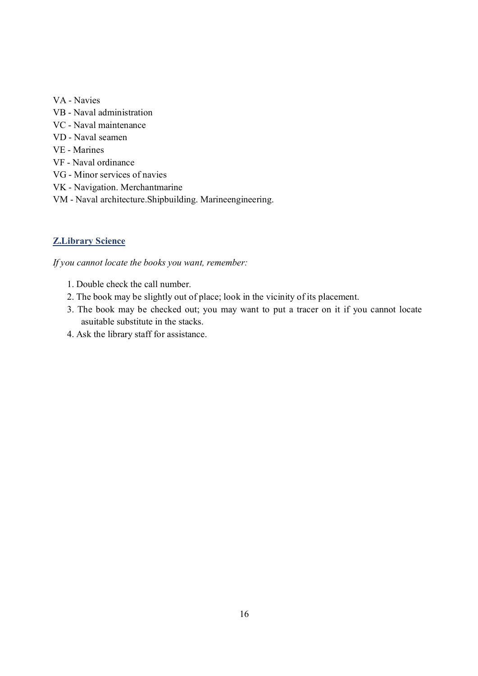- VA Navies
- VB Naval administration
- VC Naval maintenance
- VD Naval seamen
- VE Marines
- VF Naval ordinance
- VG Minor services of navies
- VK Navigation. Merchantmarine
- VM Naval architecture.Shipbuilding. Marineengineering.

## **Z.Library Science**

*If you cannot locate the books you want, remember:*

- 1. Double check the call number.
- 2. The book may be slightly out of place; look in the vicinity of its placement.
- 3. The book may be checked out; you may want to put a tracer on it if you cannot locate asuitable substitute in the stacks.
- 4. Ask the library staff for assistance.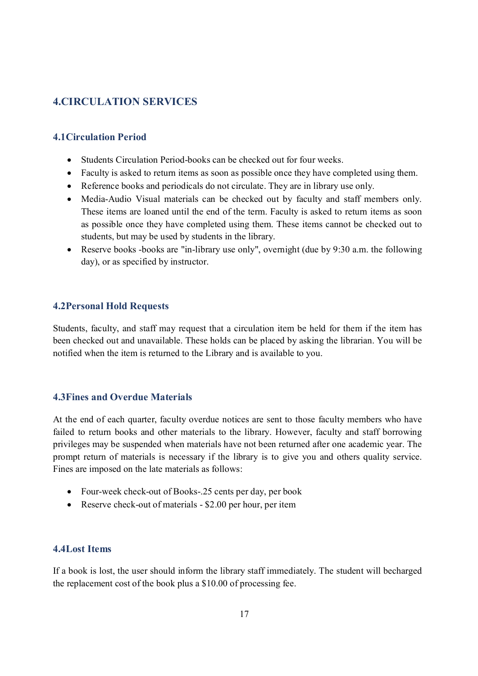## **4.CIRCULATION SERVICES**

## **4.1Circulation Period**

- Students Circulation Period-books can be checked out for four weeks.
- Faculty is asked to return items as soon as possible once they have completed using them.
- Reference books and periodicals do not circulate. They are in library use only.
- · Media-Audio Visual materials can be checked out by faculty and staff members only. These items are loaned until the end of the term. Faculty is asked to return items as soon as possible once they have completed using them. These items cannot be checked out to students, but may be used by students in the library.
- Reserve books -books are "in-library use only", overnight (due by 9:30 a.m. the following day), or as specified by instructor.

#### **4.2Personal Hold Requests**

Students, faculty, and staff may request that a circulation item be held for them if the item has been checked out and unavailable. These holds can be placed by asking the librarian. You will be notified when the item is returned to the Library and is available to you.

#### **4.3Fines and Overdue Materials**

At the end of each quarter, faculty overdue notices are sent to those faculty members who have failed to return books and other materials to the library. However, faculty and staff borrowing privileges may be suspended when materials have not been returned after one academic year. The prompt return of materials is necessary if the library is to give you and others quality service. Fines are imposed on the late materials as follows:

- Four-week check-out of Books-.25 cents per day, per book
- Reserve check-out of materials \$2.00 per hour, per item

## **4.4Lost Items**

If a book is lost, the user should inform the library staff immediately. The student will becharged the replacement cost of the book plus a \$10.00 of processing fee.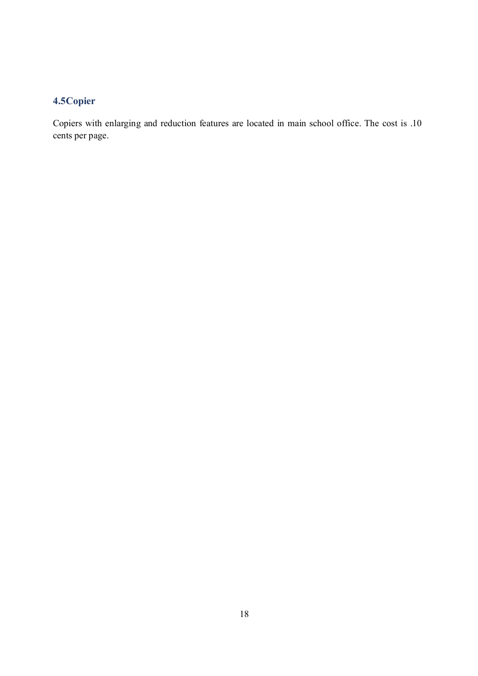## **4.5Copier**

Copiers with enlarging and reduction features are located in main school office. The cost is .10 cents per page.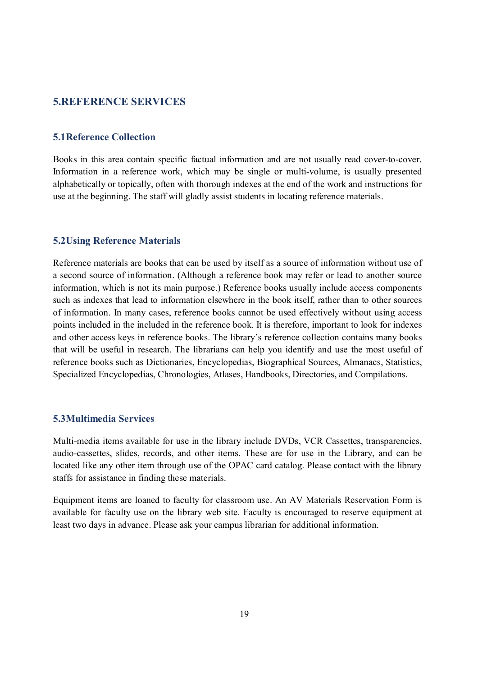## **5.REFERENCE SERVICES**

#### **5.1Reference Collection**

Books in this area contain specific factual information and are not usually read cover-to-cover. Information in a reference work, which may be single or multi-volume, is usually presented alphabetically or topically, often with thorough indexes at the end of the work and instructions for use at the beginning. The staff will gladly assist students in locating reference materials.

#### **5.2Using Reference Materials**

Reference materials are books that can be used by itself as a source of information without use of a second source of information. (Although a reference book may refer or lead to another source information, which is not its main purpose.) Reference books usually include access components such as indexes that lead to information elsewhere in the book itself, rather than to other sources of information. In many cases, reference books cannot be used effectively without using access points included in the included in the reference book. It is therefore, important to look for indexes and other access keys in reference books. The library's reference collection contains many books that will be useful in research. The librarians can help you identify and use the most useful of reference books such as Dictionaries, Encyclopedias, Biographical Sources, Almanacs, Statistics, Specialized Encyclopedias, Chronologies, Atlases, Handbooks, Directories, and Compilations.

## **5.3Multimedia Services**

Multi-media items available for use in the library include DVDs, VCR Cassettes, transparencies, audio-cassettes, slides, records, and other items. These are for use in the Library, and can be located like any other item through use of the OPAC card catalog. Please contact with the library staffs for assistance in finding these materials.

Equipment items are loaned to faculty for classroom use. An AV Materials Reservation Form is available for faculty use on the library web site. Faculty is encouraged to reserve equipment at least two days in advance. Please ask your campus librarian for additional information.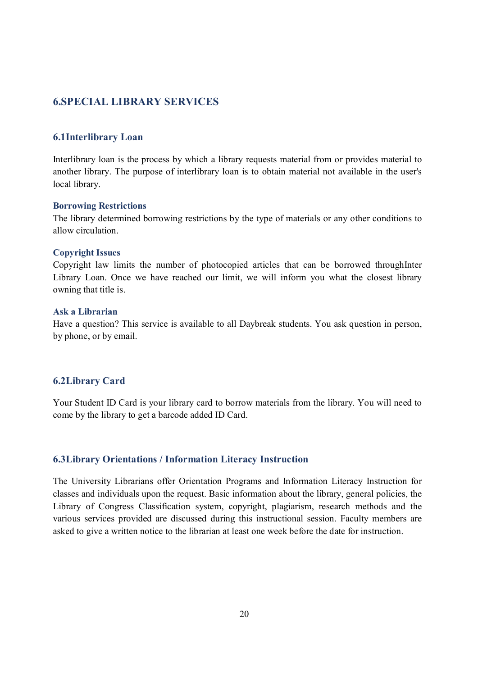## **6.SPECIAL LIBRARY SERVICES**

#### **6.1Interlibrary Loan**

Interlibrary loan is the process by which a library requests material from or provides material to another library. The purpose of interlibrary loan is to obtain material not available in the user's local library.

#### **Borrowing Restrictions**

The library determined borrowing restrictions by the type of materials or any other conditions to allow circulation.

#### **Copyright Issues**

Copyright law limits the number of photocopied articles that can be borrowed throughInter Library Loan. Once we have reached our limit, we will inform you what the closest library owning that title is.

#### **Ask a Librarian**

Have a question? This service is available to all Daybreak students. You ask question in person, by phone, or by email.

## **6.2Library Card**

Your Student ID Card is your library card to borrow materials from the library. You will need to come by the library to get a barcode added ID Card.

## **6.3Library Orientations / Information Literacy Instruction**

The University Librarians offer Orientation Programs and Information Literacy Instruction for classes and individuals upon the request. Basic information about the library, general policies, the Library of Congress Classification system, copyright, plagiarism, research methods and the various services provided are discussed during this instructional session. Faculty members are asked to give a written notice to the librarian at least one week before the date for instruction.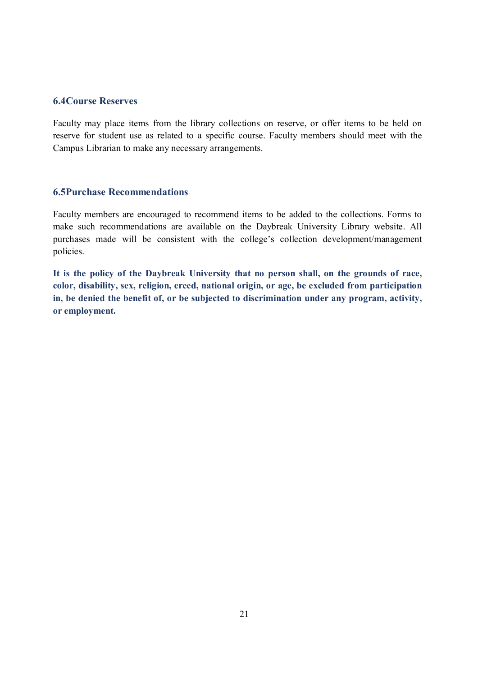#### **6.4Course Reserves**

Faculty may place items from the library collections on reserve, or offer items to be held on reserve for student use as related to a specific course. Faculty members should meet with the Campus Librarian to make any necessary arrangements.

#### **6.5Purchase Recommendations**

Faculty members are encouraged to recommend items to be added to the collections. Forms to make such recommendations are available on the Daybreak University Library website. All purchases made will be consistent with the college's collection development/management policies.

**It is the policy of the Daybreak University that no person shall, on the grounds of race, color, disability, sex, religion, creed, national origin, or age, be excluded from participation in, be denied the benefit of, or be subjected to discrimination under any program, activity, or employment.**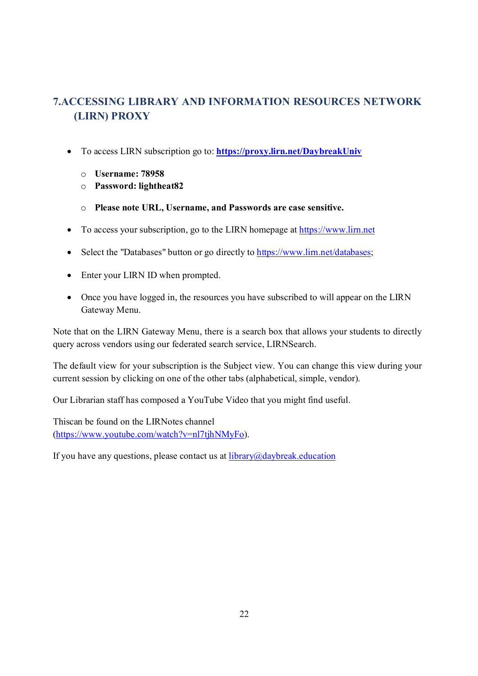# **7.ACCESSING LIBRARY AND INFORMATION RESOURCES NETWORK (LIRN) PROXY**

- · To access LIRN subscription go to: **https://proxy.lirn.net/DaybreakUniv**
	- o **Username: 78958**
	- o **Password: lightheat82**
	- o **Please note URL, Username, and Passwords are case sensitive.**
- · To access your subscription, go to the LIRN homepage at https://www.lirn.net
- Select the "Databases" button or go directly to https://www.lim.net/databases;
- Enter your LIRN ID when prompted.
- Once you have logged in, the resources you have subscribed to will appear on the LIRN Gateway Menu.

Note that on the LIRN Gateway Menu, there is a search box that allows your students to directly query across vendors using our federated search service, LIRNSearch.

The default view for your subscription is the Subject view. You can change this view during your current session by clicking on one of the other tabs (alphabetical, simple, vendor).

Our Librarian staff has composed a YouTube Video that you might find useful.

Thiscan be found on the LIRNotes channel (https://www.youtube.com/watch?v=nl7tjhNMyFo).

If you have any questions, please contact us at  $\frac{1}{\text{ibrary}(a)}\text{daybreak}.$  education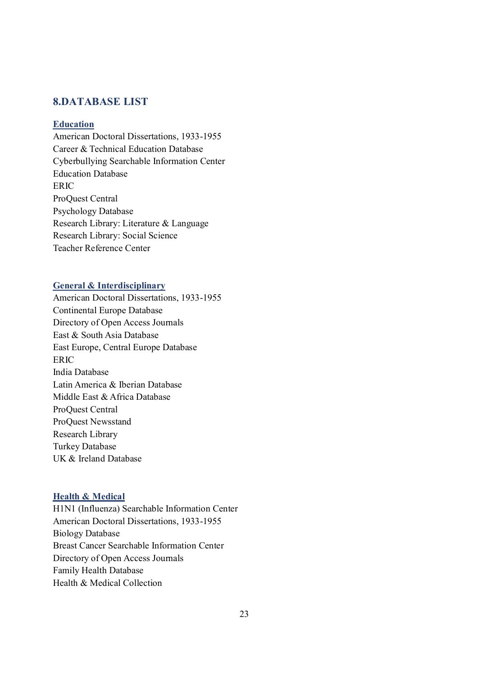## **8.DATABASE LIST**

#### **Education**

American Doctoral Dissertations, 1933-1955 Career & Technical Education Database Cyberbullying Searchable Information Center Education Database ERIC ProQuest Central Psychology Database Research Library: Literature & Language Research Library: Social Science Teacher Reference Center

#### **General & Interdisciplinary**

American Doctoral Dissertations, 1933-1955 Continental Europe Database Directory of Open Access Journals East & South Asia Database East Europe, Central Europe Database ERIC India Database Latin America & Iberian Database Middle East & Africa Database ProQuest Central ProQuest Newsstand Research Library Turkey Database UK & Ireland Database

#### **Health & Medical**

H1N1 (Influenza) Searchable Information Center American Doctoral Dissertations, 1933-1955 Biology Database Breast Cancer Searchable Information Center Directory of Open Access Journals Family Health Database Health & Medical Collection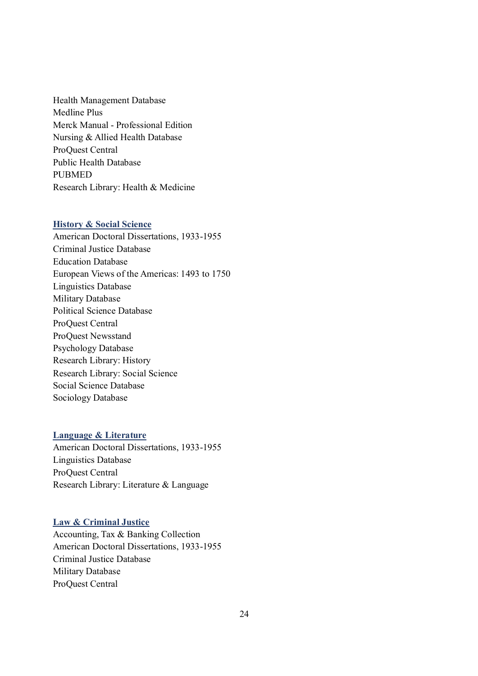Health Management Database Medline Plus Merck Manual - Professional Edition Nursing & Allied Health Database ProQuest Central Public Health Database PUBMED Research Library: Health & Medicine

#### **History & Social Science**

American Doctoral Dissertations, 1933-1955 Criminal Justice Database Education Database European Views of the Americas: 1493 to 1750 Linguistics Database Military Database Political Science Database ProQuest Central ProQuest Newsstand Psychology Database Research Library: History Research Library: Social Science Social Science Database Sociology Database

#### **Language & Literature**

American Doctoral Dissertations, 1933-1955 Linguistics Database ProQuest Central Research Library: Literature & Language

#### **Law & Criminal Justice**

Accounting, Tax & Banking Collection American Doctoral Dissertations, 1933-1955 Criminal Justice Database Military Database ProQuest Central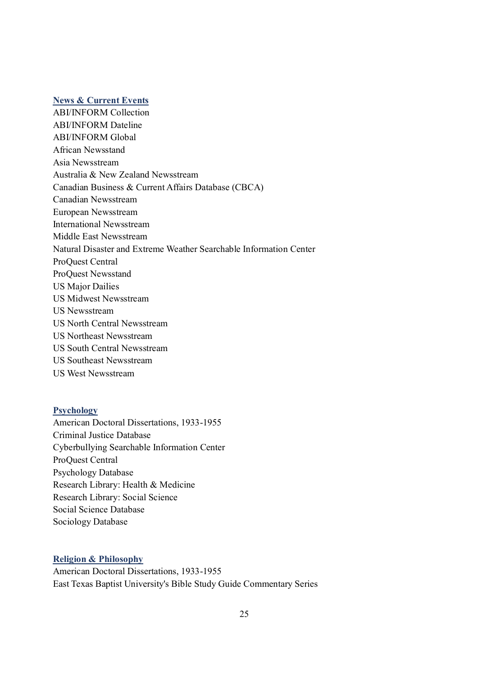#### **News & Current Events**

ABI/INFORM Collection ABI/INFORM Dateline ABI/INFORM Global African Newsstand Asia Newsstream Australia & New Zealand Newsstream Canadian Business & Current Affairs Database (CBCA) Canadian Newsstream European Newsstream International Newsstream Middle East Newsstream Natural Disaster and Extreme Weather Searchable Information Center ProQuest Central ProQuest Newsstand US Major Dailies US Midwest Newsstream US Newsstream US North Central Newsstream US Northeast Newsstream US South Central Newsstream US Southeast Newsstream US West Newsstream

#### **Psychology**

American Doctoral Dissertations, 1933-1955 Criminal Justice Database Cyberbullying Searchable Information Center ProQuest Central Psychology Database Research Library: Health & Medicine Research Library: Social Science Social Science Database Sociology Database

#### **Religion & Philosophy**

American Doctoral Dissertations, 1933-1955 East Texas Baptist University's Bible Study Guide Commentary Series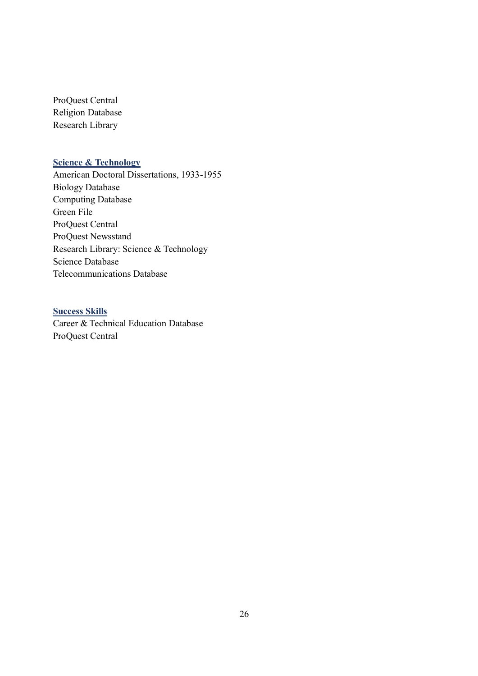ProQuest Central Religion Database Research Library

## **Science & Technology**

American Doctoral Dissertations, 1933-1955 Biology Database Computing Database Green File ProQuest Central ProQuest Newsstand Research Library: Science & Technology Science Database Telecommunications Database

## **Success Skills**

Career & Technical Education Database ProQuest Central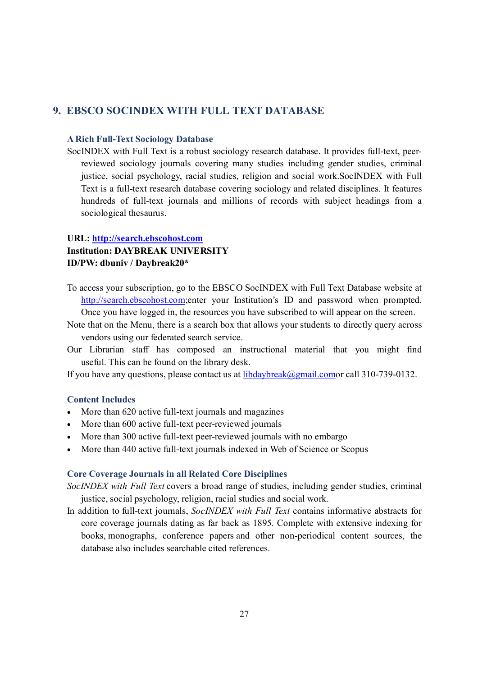## **9. EBSCO SOCINDEX WITH FULL TEXT DATABASE**

#### **A Rich Full-Text Sociology Database**

SocINDEX with Full Text is a robust sociology research database. It provides full-text, peerreviewed sociology journals covering many studies including gender studies, criminal justice, social psychology, racial studies, religion and social work.SocINDEX with Full Text is a full-text research database covering sociology and related disciplines. It features hundreds of full-text journals and millions of records with subject headings from a sociological thesaurus.

#### **URL: http://search.ebscohost.com**

#### **Institution: DAYBREAK UNIVERSITY ID/PW: dbuniv / Daybreak20\***

- To access your subscription, go to the EBSCO SocINDEX with Full Text Database website at http://search.ebscohost.com;enter your Institution's ID and password when prompted. Once you have logged in, the resources you have subscribed to will appear on the screen.
- Note that on the Menu, there is a search box that allows your students to directly query across vendors using our federated search service.
- Our Librarian staff has composed an instructional material that you might find useful. This can be found on the library desk.

If you have any questions, please contact us at  $libdaybreak@gmail.comor call 310-739-0132.$ </u>

#### **Content Includes**

- More than 620 active full-text journals and magazines
- More than 600 active full-text peer-reviewed journals
- · More than 300 active full-text peer-reviewed journals with no embargo
- More than 440 active full-text journals indexed in Web of Science or Scopus

#### **Core Coverage Journals in all Related Core Disciplines**

*SocINDEX with Full Text* covers a broad range of studies, including gender studies, criminal justice, social psychology, religion, racial studies and social work.

In addition to full-text journals, *SocINDEX with Full Text* contains informative abstracts for core coverage journals dating as far back as 1895. Complete with extensive indexing for books, monographs, conference papers and other non-periodical content sources, the database also includes searchable cited references.